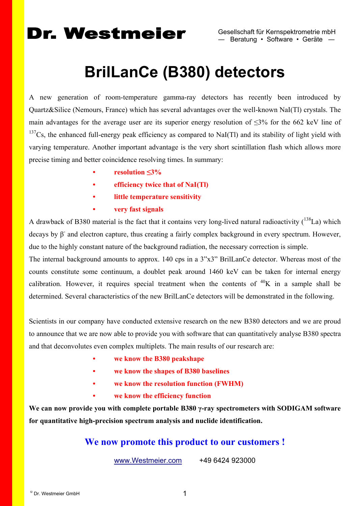# **BrilLanCe (B380) detectors**

A new generation of room-temperature gamma-ray detectors has recently been introduced by Quartz&Silice (Nemours, France) which has several advantages over the well-known NaI(Tl) crystals. The main advantages for the average user are its superior energy resolution of  $\leq 3\%$  for the 662 keV line of  $137Cs$ , the enhanced full-energy peak efficiency as compared to NaI(Tl) and its stability of light yield with varying temperature. Another important advantage is the very short scintillation flash which allows more precise timing and better coincidence resolving times. In summary:

- **resolution ≤3%**
- **efficiency twice that of NaI(Tl)**
- **little temperature sensitivity**
- **very fast signals**

A drawback of B380 material is the fact that it contains very long-lived natural radioactivity  $(^{138}La)$  which decays by  $\beta$  and electron capture, thus creating a fairly complex background in every spectrum. However, due to the highly constant nature of the background radiation, the necessary correction is simple.

The internal background amounts to approx. 140 cps in a 3"x3" BrilLanCe detector. Whereas most of the counts constitute some continuum, a doublet peak around 1460 keV can be taken for internal energy calibration. However, it requires special treatment when the contents of  $40K$  in a sample shall be determined. Several characteristics of the new BrilLanCe detectors will be demonstrated in the following.

Scientists in our company have conducted extensive research on the new B380 detectors and we are proud to announce that we are now able to provide you with software that can quantitatively analyse B380 spectra and that deconvolutes even complex multiplets. The main results of our research are:

- **we know the B380 peakshape**
- **we know the shapes of B380 baselines**
- **we know the resolution function (FWHM)**
- **we know the efficiency function**

**We can now provide you with complete portable B380 γ-ray spectrometers with SODIGAM software for quantitative high-precision spectrum analysis and nuclide identification.** 

### **We now promote this product to our customers !**

[www.Westmeier.com](http://www.westmeier.com/) +49 6424 923000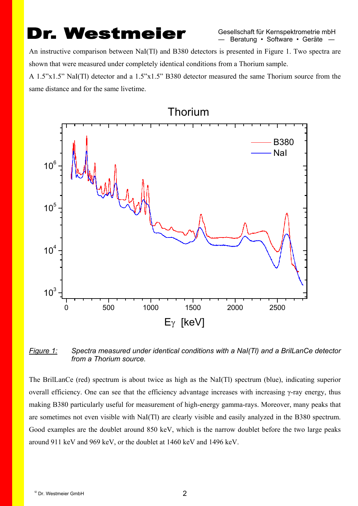An instructive comparison between NaI(Tl) and B380 detectors is presented in Figure 1. Two spectra are shown that were measured under completely identical conditions from a Thorium sample.

A 1.5"x1.5" NaI(Tl) detector and a 1.5"x1.5" B380 detector measured the same Thorium source from the same distance and for the same livetime.



#### *Figure 1: Spectra measured under identical conditions with a NaI(Tl) and a BrilLanCe detector from a Thorium source.*

The BrilLanCe (red) spectrum is about twice as high as the NaI(Tl) spectrum (blue), indicating superior overall efficiency. One can see that the efficiency advantage increases with increasing γ-ray energy, thus making B380 particularly useful for measurement of high-energy gamma-rays. Moreover, many peaks that are sometimes not even visible with NaI(Tl) are clearly visible and easily analyzed in the B380 spectrum. Good examples are the doublet around 850 keV, which is the narrow doublet before the two large peaks around 911 keV and 969 keV, or the doublet at 1460 keV and 1496 keV.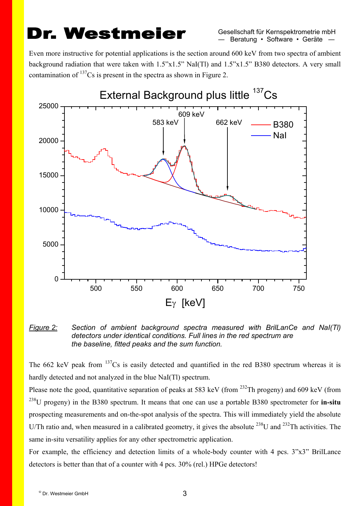Gesellschaft für Kernspektrometrie mbH ― Beratung • Software • Geräte ―

Even more instructive for potential applications is the section around 600 keV from two spectra of ambient background radiation that were taken with 1.5"x1.5" NaI(Tl) and 1.5"x1.5" B380 detectors. A very small contamination of  $137Cs$  is present in the spectra as shown in Figure 2.



#### *Figure 2: Section of ambient background spectra measured with BrilLanCe and NaI(Tl) detectors under identical conditions. Full lines in the red spectrum are the baseline, fitted peaks and the sum function.*

The 662 keV peak from  $137Cs$  is easily detected and quantified in the red B380 spectrum whereas it is hardly detected and not analyzed in the blue NaI(Tl) spectrum.

Please note the good, quantitative separation of peaks at 583 keV (from <sup>232</sup>Th progeny) and 609 keV (from 238U progeny) in the B380 spectrum. It means that one can use a portable B380 spectrometer for **in-situ** prospecting measurements and on-the-spot analysis of the spectra. This will immediately yield the absolute U/Th ratio and, when measured in a calibrated geometry, it gives the absolute <sup>238</sup>U and <sup>232</sup>Th activities. The same in-situ versatility applies for any other spectrometric application.

For example, the efficiency and detection limits of a whole-body counter with 4 pcs. 3"x3" BrilLance detectors is better than that of a counter with 4 pcs. 30% (rel.) HPGe detectors!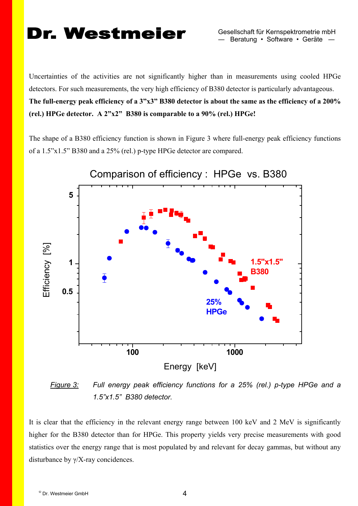Uncertainties of the activities are not significantly higher than in measurements using cooled HPGe detectors. For such measurements, the very high efficiency of B380 detector is particularly advantageous. **The full-energy peak efficiency of a 3"x3" B380 detector is about the same as the efficiency of a 200% (rel.) HPGe detector. A 2"x2" B380 is comparable to a 90% (rel.) HPGe!** 

The shape of a B380 efficiency function is shown in Figure 3 where full-energy peak efficiency functions of a 1.5"x1.5" B380 and a 25% (rel.) p-type HPGe detector are compared.



*Figure 3: Full energy peak efficiency functions for a 25% (rel.) p-type HPGe and a 1.5"x1.5" B380 detector.*

It is clear that the efficiency in the relevant energy range between 100 keV and 2 MeV is significantly higher for the B380 detector than for HPGe. This property yields very precise measurements with good statistics over the energy range that is most populated by and relevant for decay gammas, but without any disturbance by γ/X-ray concidences.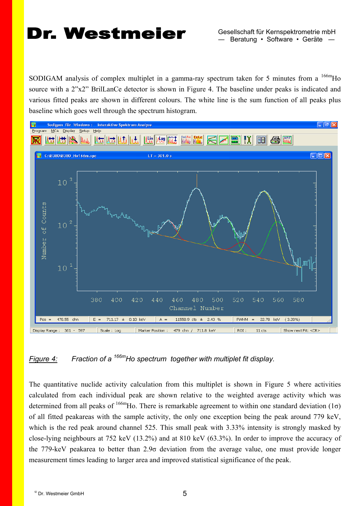SODIGAM analysis of complex multiplet in a gamma-ray spectrum taken for 5 minutes from a  $^{166m}$ Ho source with a 2"x2" BrilLanCe detector is shown in Figure 4. The baseline under peaks is indicated and various fitted peaks are shown in different colours. The white line is the sum function of all peaks plus baseline which goes well through the spectrum histogram.



#### *Figure 4: Fraction of a 166mHo spectrum together with multiplet fit display.*

The quantitative nuclide activity calculation from this multiplet is shown in Figure 5 where activities calculated from each individual peak are shown relative to the weighted average activity which was determined from all peaks of  $^{166m}$ Ho. There is remarkable agreement to within one standard deviation (1 $\sigma$ ) of all fitted peakareas with the sample activity, the only one exception being the peak around 779 keV, which is the red peak around channel 525. This small peak with 3.33% intensity is strongly masked by close-lying neighbours at 752 keV (13.2%) and at 810 keV (63.3%). In order to improve the accuracy of the 779-keV peakarea to better than 2.9σ deviation from the average value, one must provide longer measurement times leading to larger area and improved statistical significance of the peak.